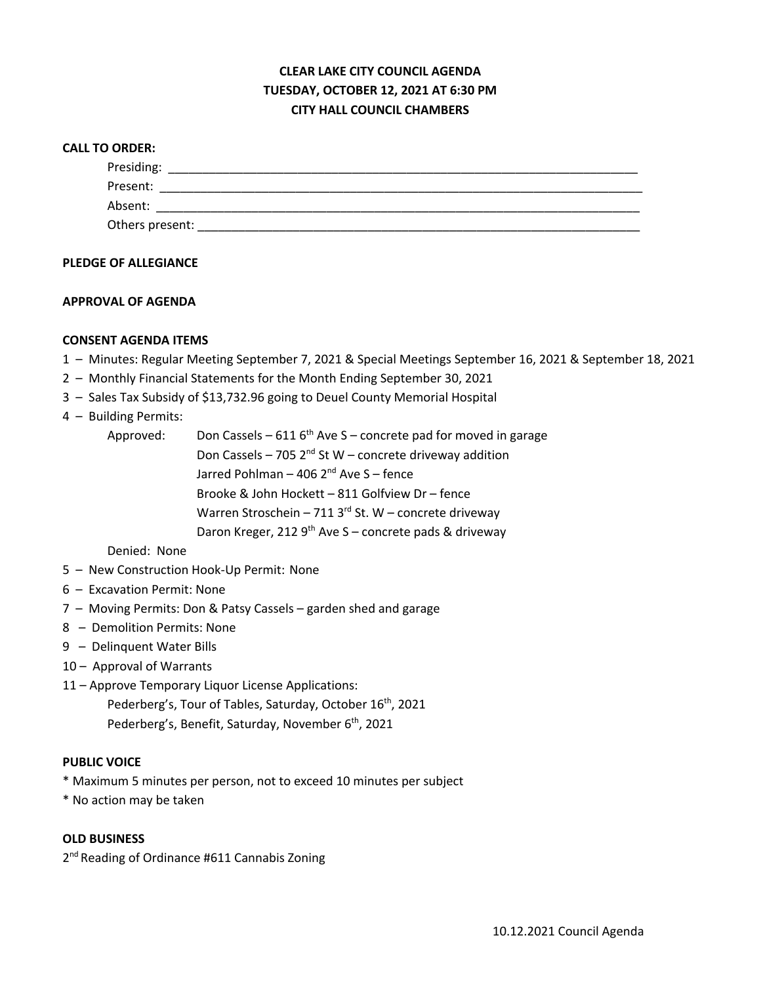# **CLEAR LAKE CITY COUNCIL AGENDA TUESDAY, OCTOBER 12, 2021 AT 6:30 PM CITY HALL COUNCIL CHAMBERS**

#### **CALL TO ORDER:**

| Presiding:      |  |  |
|-----------------|--|--|
| Present:        |  |  |
| Absent:         |  |  |
| Others present: |  |  |

## **PLEDGE OF ALLEGIANCE**

### **APPROVAL OF AGENDA**

### **CONSENT AGENDA ITEMS**

- 1 Minutes: Regular Meeting September 7, 2021 & Special Meetings September 16, 2021 & September 18, 2021
- 2 Monthly Financial Statements for the Month Ending September 30, 2021
- 3 Sales Tax Subsidy of \$13,732.96 going to Deuel County Memorial Hospital

## 4 – Building Permits:

Approved: Don Cassels – 611  $6<sup>th</sup>$  Ave S – concrete pad for moved in garage Don Cassels – 705  $2^{nd}$  St W – concrete driveway addition Jarred Pohlman – 406  $2<sup>nd</sup>$  Ave S – fence Brooke & John Hockett – 811 Golfview Dr – fence Warren Stroschein – 711 3 $rd$  St. W – concrete driveway Daron Kreger, 212 9<sup>th</sup> Ave S – concrete pads & driveway

## Denied: None

- 5 New Construction Hook-Up Permit: None
- 6 Excavation Permit: None
- 7 Moving Permits: Don & Patsy Cassels garden shed and garage
- 8 Demolition Permits: None
- 9 Delinquent Water Bills
- 10 Approval of Warrants
- 11 Approve Temporary Liquor License Applications:
	- Pederberg's, Tour of Tables, Saturday, October 16<sup>th</sup>, 2021 Pederberg's, Benefit, Saturday, November 6<sup>th</sup>, 2021

#### **PUBLIC VOICE**

- \* Maximum 5 minutes per person, not to exceed 10 minutes per subject
- \* No action may be taken

#### **OLD BUSINESS**

2<sup>nd</sup> Reading of Ordinance #611 Cannabis Zoning